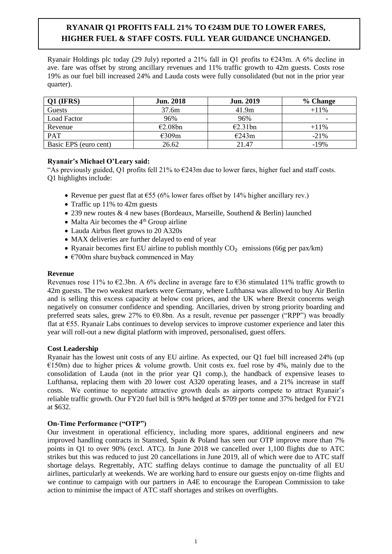# **RYANAIR Q1 PROFITS FALL 21% TO €243M DUE TO LOWER FARES, HIGHER FUEL & STAFF COSTS. FULL YEAR GUIDANCE UNCHANGED.**

Ryanair Holdings plc today (29 July) reported a 21% fall in O1 profits to  $\epsilon$ 243m. A 6% decline in ave. fare was offset by strong ancillary revenues and 11% traffic growth to 42m guests. Costs rose 19% as our fuel bill increased 24% and Lauda costs were fully consolidated (but not in the prior year quarter).

| $Q1$ (IFRS)           | <b>Jun. 2018</b> | <b>Jun. 2019</b> | % Change                 |
|-----------------------|------------------|------------------|--------------------------|
| Guests                | 37.6m            | 41.9m            | $+11\%$                  |
| <b>Load Factor</b>    | 96%              | 96%              | $\overline{\phantom{0}}$ |
| Revenue               | E2.08bn          | E2.31bn          | $+11\%$                  |
| <b>PAT</b>            | E309m            | E243m            | $-21\%$                  |
| Basic EPS (euro cent) | 26.62            | 21.47            | $-19%$                   |

## **Ryanair's Michael O'Leary said:**

"As previously guided, O1 profits fell 21% to  $\epsilon$ 243m due to lower fares, higher fuel and staff costs. Q1 highlights include:

- Revenue per guest flat at €55 (6% lower fares offset by 14% higher ancillary rev.)
- Traffic up 11% to 42m guests
- 239 new routes & 4 new bases (Bordeaux, Marseille, Southend & Berlin) launched
- Malta Air becomes the  $4<sup>th</sup>$  Group airline
- Lauda Airbus fleet grows to 20 A320s
- MAX deliveries are further delayed to end of year
- Ryanair becomes first EU airline to publish monthly  $CO<sub>2</sub>$  emissions (66g per pax/km)
- $\epsilon$ 700m share buyback commenced in May

## **Revenue**

Revenues rose 11% to  $E2.3$ bn. A 6% decline in average fare to  $E36$  stimulated 11% traffic growth to 42m guests. The two weakest markets were Germany, where Lufthansa was allowed to buy Air Berlin and is selling this excess capacity at below cost prices, and the UK where Brexit concerns weigh negatively on consumer confidence and spending. Ancillaries, driven by strong priority boarding and preferred seats sales, grew 27% to €0.8bn. As a result, revenue per passenger ("RPP") was broadly flat at €55. Ryanair Labs continues to develop services to improve customer experience and later this year will roll-out a new digital platform with improved, personalised, guest offers.

## **Cost Leadership**

Ryanair has the lowest unit costs of any EU airline. As expected, our Q1 fuel bill increased 24% (up  $E(150m)$  due to higher prices & volume growth. Unit costs ex. fuel rose by 4%, mainly due to the consolidation of Lauda (not in the prior year Q1 comp.), the handback of expensive leases to Lufthansa, replacing them with 20 lower cost A320 operating leases, and a 21% increase in staff costs. We continue to negotiate attractive growth deals as airports compete to attract Ryanair's reliable traffic growth. Our FY20 fuel bill is 90% hedged at \$709 per tonne and 37% hedged for FY21 at \$632.

## **On-Time Performance ("OTP")**

Our investment in operational efficiency, including more spares, additional engineers and new improved handling contracts in Stansted, Spain & Poland has seen our OTP improve more than 7% points in Q1 to over 90% (excl. ATC). In June 2018 we cancelled over 1,100 flights due to ATC strikes but this was reduced to just 20 cancellations in June 2019, all of which were due to ATC staff shortage delays. Regrettably, ATC staffing delays continue to damage the punctuality of all EU airlines, particularly at weekends. We are working hard to ensure our guests enjoy on-time flights and we continue to campaign with our partners in A4E to encourage the European Commission to take action to minimise the impact of ATC staff shortages and strikes on overflights.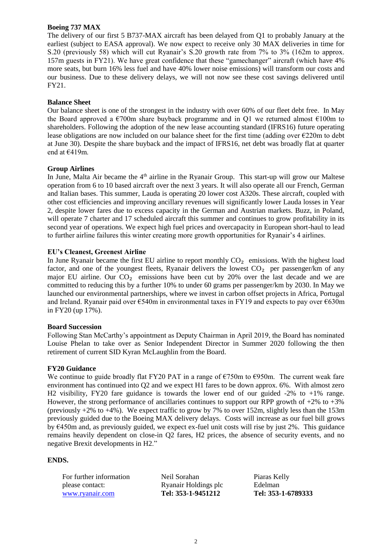## **Boeing 737 MAX**

The delivery of our first 5 B737-MAX aircraft has been delayed from Q1 to probably January at the earliest (subject to EASA approval). We now expect to receive only 30 MAX deliveries in time for S.20 (previously 58) which will cut Ryanair's S.20 growth rate from 7% to 3% (162m to approx. 157m guests in FY21). We have great confidence that these "gamechanger" aircraft (which have 4% more seats, but burn 16% less fuel and have 40% lower noise emissions) will transform our costs and our business. Due to these delivery delays, we will not now see these cost savings delivered until FY21.

## **Balance Sheet**

Our balance sheet is one of the strongest in the industry with over 60% of our fleet debt free. In May the Board approved a  $\epsilon$ 700m share buyback programme and in Q1 we returned almost  $\epsilon$ 100m to shareholders. Following the adoption of the new lease accounting standard (IFRS16) future operating lease obligations are now included on our balance sheet for the first time (adding over €220m to debt at June 30). Despite the share buyback and the impact of IFRS16, net debt was broadly flat at quarter end at €419m.

## **Group Airlines**

In June, Malta Air became the  $4<sup>th</sup>$  airline in the Ryanair Group. This start-up will grow our Maltese operation from 6 to 10 based aircraft over the next 3 years. It will also operate all our French, German and Italian bases. This summer, Lauda is operating 20 lower cost A320s. These aircraft, coupled with other cost efficiencies and improving ancillary revenues will significantly lower Lauda losses in Year 2, despite lower fares due to excess capacity in the German and Austrian markets. Buzz, in Poland, will operate 7 charter and 17 scheduled aircraft this summer and continues to grow profitability in its second year of operations. We expect high fuel prices and overcapacity in European short-haul to lead to further airline failures this winter creating more growth opportunities for Ryanair's 4 airlines.

## **EU's Cleanest, Greenest Airline**

In June Ryanair became the first EU airline to report monthly  $CO<sub>2</sub>$  emissions. With the highest load factor, and one of the youngest fleets, Ryanair delivers the lowest  $CO<sub>2</sub>$  per passenger/km of any major EU airline. Our  $CO<sub>2</sub>$  emissions have been cut by 20% over the last decade and we are committed to reducing this by a further 10% to under 60 grams per passenger/km by 2030. In May we launched our environmental partnerships, where we invest in carbon offset projects in Africa, Portugal and Ireland. Ryanair paid over €540m in environmental taxes in FY19 and expects to pay over €630m in FY20 (up 17%).

#### **Board Succession**

Following Stan McCarthy's appointment as Deputy Chairman in April 2019, the Board has nominated Louise Phelan to take over as Senior Independent Director in Summer 2020 following the then retirement of current SID Kyran McLaughlin from the Board.

#### **FY20 Guidance**

We continue to guide broadly flat FY20 PAT in a range of  $\epsilon$ 750m to  $\epsilon$ 950m. The current weak fare environment has continued into Q2 and we expect H1 fares to be down approx. 6%. With almost zero H2 visibility, FY20 fare guidance is towards the lower end of our guided -2% to +1% range. However, the strong performance of ancillaries continues to support our RPP growth of  $+2\%$  to  $+3\%$ (previously  $+2\%$  to  $+4\%$ ). We expect traffic to grow by 7% to over 152m, slightly less than the 153m previously guided due to the Boeing MAX delivery delays. Costs will increase as our fuel bill grows by €450m and, as previously guided, we expect ex-fuel unit costs will rise by just 2%. This guidance remains heavily dependent on close-in Q2 fares, H2 prices, the absence of security events, and no negative Brexit developments in H2."

#### **ENDS.**

| For further information | Neil Sorahan         | Piaras Kelly       |
|-------------------------|----------------------|--------------------|
| please contact:         | Ryanair Holdings plc | Edelman            |
| www.ryanair.com         | Tel: 353-1-9451212   | Tel: 353-1-6789333 |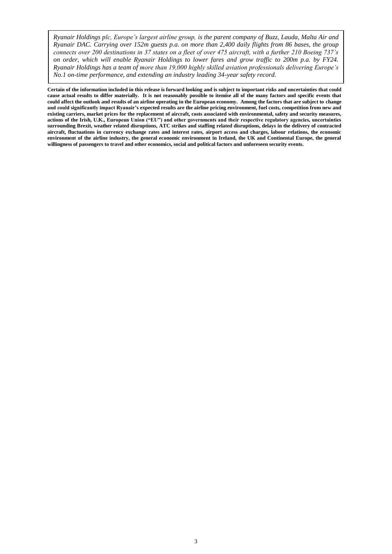*Ryanair Holdings plc, Europe's largest airline group, is the parent company of Buzz, Lauda, Malta Air and Ryanair DAC. Carrying over 152m guests p.a. on more than 2,400 daily flights from 86 bases, the group connects over 200 destinations in 37 states on a fleet of over 475 aircraft, with a further 210 Boeing 737's on order, which will enable Ryanair Holdings to lower fares and grow traffic to 200m p.a. by FY24. Ryanair Holdings has a team of more than 19,000 highly skilled aviation professionals delivering Europe's No.1 on-time performance, and extending an industry leading 34-year safety record.*

**Certain of the information included in this release is forward looking and is subject to important risks and uncertainties that could cause actual results to differ materially. It is not reasonably possible to itemise all of the many factors and specific events that could affect the outlook and results of an airline operating in the European economy. Among the factors that are subject to change and could significantly impact Ryanair's expected results are the airline pricing environment, fuel costs, competition from new and existing carriers, market prices for the replacement of aircraft, costs associated with environmental, safety and security measures, actions of the Irish, U.K., European Union ("EU") and other governments and their respective regulatory agencies, uncertainties surrounding Brexit, weather related disruptions, ATC strikes and staffing related disruptions, delays in the delivery of contracted aircraft, fluctuations in currency exchange rates and interest rates, airport access and charges, labour relations, the economic environment of the airline industry, the general economic environment in Ireland, the UK and Continental Europe, the general willingness of passengers to travel and other economics, social and political factors and unforeseen security events.**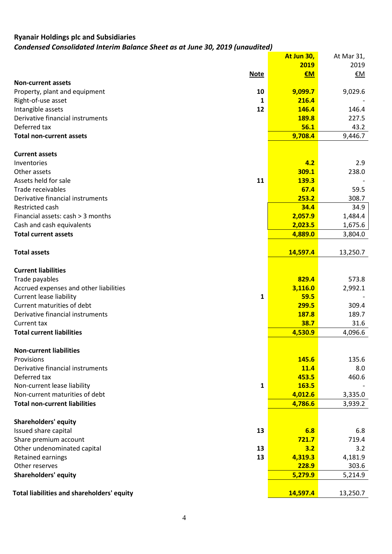## **Ryanair Holdings plc and Subsidiaries** *Condensed Consolidated Interim Balance Sheet as at June 30, 2019 (unaudited)*

|                                                   | At Jun 30, | At Mar 31, |
|---------------------------------------------------|------------|------------|
|                                                   | 2019       | 2019       |
| <b>Note</b>                                       | $EM$       | €M         |
| <b>Non-current assets</b>                         |            |            |
| 10<br>Property, plant and equipment               | 9,099.7    | 9,029.6    |
| Right-of-use asset<br>1                           | 216.4      |            |
| Intangible assets<br>12                           | 146.4      | 146.4      |
| Derivative financial instruments                  | 189.8      | 227.5      |
| Deferred tax                                      | 56.1       | 43.2       |
| <b>Total non-current assets</b>                   | 9,708.4    | 9,446.7    |
| <b>Current assets</b>                             |            |            |
| Inventories                                       | 4.2        | 2.9        |
| Other assets                                      | 309.1      | 238.0      |
| Assets held for sale<br>11                        | 139.3      |            |
| Trade receivables                                 | 67.4       | 59.5       |
| Derivative financial instruments                  | 253.2      | 308.7      |
| Restricted cash                                   | 34.4       | 34.9       |
| Financial assets: cash > 3 months                 | 2,057.9    | 1,484.4    |
| Cash and cash equivalents                         | 2,023.5    | 1,675.6    |
| <b>Total current assets</b>                       | 4,889.0    | 3,804.0    |
|                                                   |            |            |
| <b>Total assets</b>                               | 14,597.4   | 13,250.7   |
| <b>Current liabilities</b>                        |            |            |
| Trade payables                                    | 829.4      | 573.8      |
| Accrued expenses and other liabilities            | 3,116.0    | 2,992.1    |
| <b>Current lease liability</b><br>1               | 59.5       |            |
| Current maturities of debt                        | 299.5      | 309.4      |
| Derivative financial instruments                  | 187.8      | 189.7      |
| Current tax                                       | 38.7       | 31.6       |
| <b>Total current liabilities</b>                  | 4,530.9    | 4,096.6    |
|                                                   |            |            |
| <b>Non-current liabilities</b>                    |            |            |
| Provisions                                        | 145.6      | 135.6      |
| Derivative financial instruments                  | 11.4       | 8.0        |
| Deferred tax                                      | 453.5      | 460.6      |
| Non-current lease liability<br>1                  | 163.5      |            |
| Non-current maturities of debt                    | 4,012.6    | 3,335.0    |
| <b>Total non-current liabilities</b>              | 4,786.6    | 3,939.2    |
| <b>Shareholders' equity</b>                       |            |            |
| Issued share capital<br>13                        | 6.8        | 6.8        |
| Share premium account                             | 721.7      | 719.4      |
| Other undenominated capital<br>13                 | 3.2        | 3.2        |
| Retained earnings<br>13                           | 4,319.3    | 4,181.9    |
| Other reserves                                    | 228.9      | 303.6      |
| <b>Shareholders' equity</b>                       | 5,279.9    | 5,214.9    |
|                                                   |            |            |
| <b>Total liabilities and shareholders' equity</b> | 14,597.4   | 13,250.7   |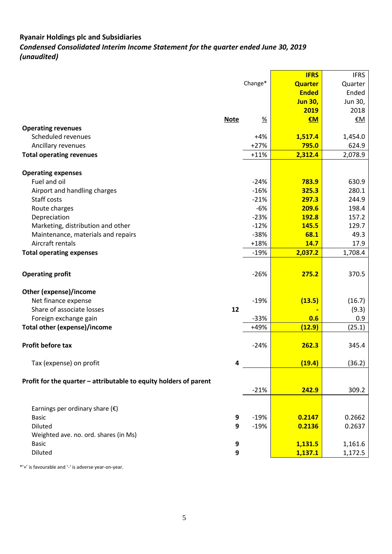# **Ryanair Holdings plc and Subsidiaries**  *Condensed Consolidated Interim Income Statement for the quarter ended June 30, 2019 (unaudited)*

|                                                                   |                  |                  | <b>IFRS</b>    | <b>IFRS</b>    |
|-------------------------------------------------------------------|------------------|------------------|----------------|----------------|
|                                                                   |                  | Change*          | <b>Quarter</b> | Quarter        |
|                                                                   |                  |                  | <b>Ended</b>   | Ended          |
|                                                                   |                  |                  | <b>Jun 30,</b> | Jun 30,        |
|                                                                   |                  |                  | 2019           | 2018           |
|                                                                   | <b>Note</b>      | $\frac{9}{6}$    | €M             | €M             |
| <b>Operating revenues</b>                                         |                  |                  |                |                |
| Scheduled revenues                                                |                  | $+4%$            | 1,517.4        | 1,454.0        |
| Ancillary revenues                                                |                  | $+27%$           | 795.0          | 624.9          |
| <b>Total operating revenues</b>                                   |                  | $+11%$           | 2,312.4        | 2,078.9        |
|                                                                   |                  |                  |                |                |
| <b>Operating expenses</b>                                         |                  |                  |                |                |
| Fuel and oil                                                      |                  | $-24%$           | 783.9          | 630.9          |
| Airport and handling charges<br>Staff costs                       |                  | $-16%$<br>$-21%$ | 325.3<br>297.3 | 280.1<br>244.9 |
|                                                                   |                  | $-6%$            | 209.6          | 198.4          |
| Route charges<br>Depreciation                                     |                  | $-23%$           | 192.8          | 157.2          |
| Marketing, distribution and other                                 |                  | $-12%$           | 145.5          | 129.7          |
| Maintenance, materials and repairs                                |                  | $-38%$           | 68.1           | 49.3           |
| Aircraft rentals                                                  |                  | $+18%$           | 14.7           | 17.9           |
| <b>Total operating expenses</b>                                   |                  | $-19%$           | 2,037.2        | 1,708.4        |
|                                                                   |                  |                  |                |                |
| <b>Operating profit</b>                                           |                  | $-26%$           | 275.2          | 370.5          |
| Other (expense)/income                                            |                  |                  |                |                |
| Net finance expense                                               |                  | $-19%$           | (13.5)         | (16.7)         |
| Share of associate losses                                         | 12               |                  |                | (9.3)          |
| Foreign exchange gain                                             |                  | $-33%$           | 0.6            | 0.9            |
| <b>Total other (expense)/income</b>                               |                  | $+49%$           | (12.9)         | (25.1)         |
|                                                                   |                  |                  |                |                |
| Profit before tax                                                 |                  | $-24%$           | 262.3          | 345.4          |
| Tax (expense) on profit                                           | 4                |                  | (19.4)         | (36.2)         |
|                                                                   |                  |                  |                |                |
| Profit for the quarter - attributable to equity holders of parent |                  |                  |                |                |
|                                                                   |                  | $-21%$           | 242.9          | 309.2          |
| Earnings per ordinary share $(\epsilon)$                          |                  |                  |                |                |
| <b>Basic</b>                                                      | 9                | $-19%$           | 0.2147         | 0.2662         |
| Diluted                                                           | 9                | $-19%$           | 0.2136         | 0.2637         |
| Weighted ave. no. ord. shares (in Ms)                             |                  |                  |                |                |
| <b>Basic</b>                                                      | 9                |                  | 1,131.5        | 1,161.6        |
| Diluted                                                           | $\boldsymbol{9}$ |                  | 1,137.1        | 1,172.5        |
|                                                                   |                  |                  |                |                |

\*'+' is favourable and '-' is adverse year-on-year.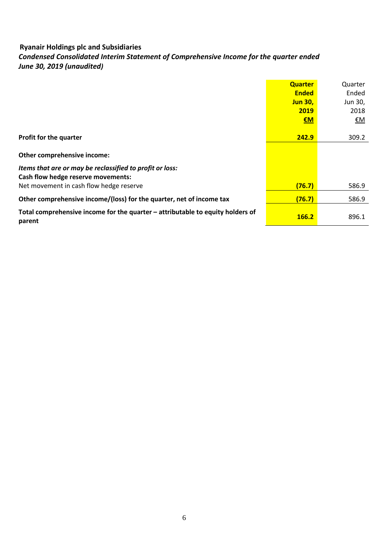# *Condensed Consolidated Interim Statement of Comprehensive Income for the quarter ended June 30, 2019 (unaudited)*

|                                                                                          | <b>Quarter</b> | Quarter   |
|------------------------------------------------------------------------------------------|----------------|-----------|
|                                                                                          | <b>Ended</b>   | Ended     |
|                                                                                          | <b>Jun 30,</b> | Jun 30,   |
|                                                                                          | 2019           | 2018      |
|                                                                                          | $\epsilon$ M   | <u>€M</u> |
|                                                                                          |                |           |
| <b>Profit for the quarter</b>                                                            | 242.9          | 309.2     |
|                                                                                          |                |           |
| Other comprehensive income:                                                              |                |           |
| Items that are or may be reclassified to profit or loss:                                 |                |           |
| Cash flow hedge reserve movements:                                                       |                |           |
| Net movement in cash flow hedge reserve                                                  | (76.7)         | 586.9     |
| Other comprehensive income/(loss) for the quarter, net of income tax                     | (76.7)         | 586.9     |
| Total comprehensive income for the quarter – attributable to equity holders of<br>parent | <b>166.2</b>   | 896.1     |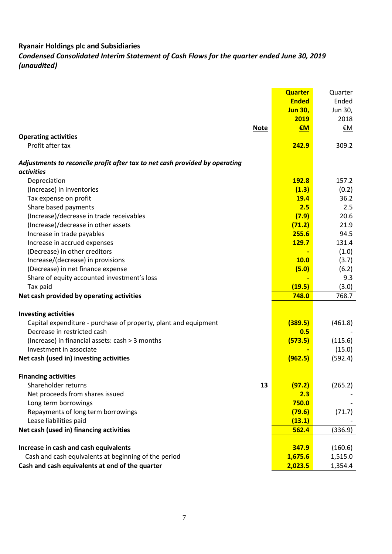*Condensed Consolidated Interim Statement of Cash Flows for the quarter ended June 30, 2019 (unaudited)*

|                                                                                           | <b>Quarter</b> | Quarter   |
|-------------------------------------------------------------------------------------------|----------------|-----------|
|                                                                                           | <b>Ended</b>   | Ended     |
|                                                                                           | <b>Jun 30,</b> | Jun 30,   |
|                                                                                           | 2019           | 2018      |
| <b>Note</b>                                                                               | €M             | <u>€M</u> |
| <b>Operating activities</b>                                                               |                |           |
| Profit after tax                                                                          | 242.9          | 309.2     |
| Adjustments to reconcile profit after tax to net cash provided by operating<br>activities |                |           |
| Depreciation                                                                              | 192.8          | 157.2     |
| (Increase) in inventories                                                                 | (1.3)          | (0.2)     |
| Tax expense on profit                                                                     | <b>19.4</b>    | 36.2      |
| Share based payments                                                                      | 2.5            | 2.5       |
| (Increase)/decrease in trade receivables                                                  | (7.9)          | 20.6      |
| (Increase)/decrease in other assets                                                       | (71.2)         | 21.9      |
| Increase in trade payables                                                                | 255.6          | 94.5      |
| Increase in accrued expenses                                                              | <b>129.7</b>   | 131.4     |
| (Decrease) in other creditors                                                             |                | (1.0)     |
| Increase/(decrease) in provisions                                                         | 10.0           | (3.7)     |
| (Decrease) in net finance expense                                                         | (5.0)          | (6.2)     |
| Share of equity accounted investment's loss                                               |                | 9.3       |
| Tax paid                                                                                  | (19.5)         | (3.0)     |
| Net cash provided by operating activities                                                 | 748.0          | 768.7     |
|                                                                                           |                |           |
| <b>Investing activities</b>                                                               |                |           |
| Capital expenditure - purchase of property, plant and equipment                           | (389.5)        | (461.8)   |
| Decrease in restricted cash                                                               | 0.5            |           |
| (Increase) in financial assets: cash > 3 months                                           | (573.5)        | (115.6)   |
| Investment in associate                                                                   |                | (15.0)    |
| Net cash (used in) investing activities                                                   | (962.5)        | (592.4)   |
|                                                                                           |                |           |
| <b>Financing activities</b><br>Shareholder returns<br>13                                  |                |           |
| Net proceeds from shares issued                                                           | (97.2)<br>2.3  | (265.2)   |
| Long term borrowings                                                                      | 750.0          |           |
| Repayments of long term borrowings                                                        | (79.6)         | (71.7)    |
| Lease liabilities paid                                                                    | (13.1)         |           |
| Net cash (used in) financing activities                                                   | 562.4          | (336.9)   |
|                                                                                           |                |           |
| Increase in cash and cash equivalents                                                     | 347.9          | (160.6)   |
| Cash and cash equivalents at beginning of the period                                      | 1,675.6        | 1,515.0   |
| Cash and cash equivalents at end of the quarter                                           | 2,023.5        | 1,354.4   |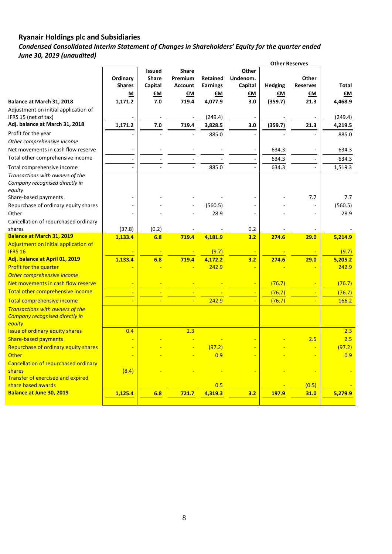*Condensed Consolidated Interim Statement of Changes in Shareholders' Equity for the quarter ended June 30, 2019 (unaudited)*

|                                                        |               |               |                |                 |                          | <b>Other Reserves</b> |                          |                 |
|--------------------------------------------------------|---------------|---------------|----------------|-----------------|--------------------------|-----------------------|--------------------------|-----------------|
|                                                        |               | <b>Issued</b> | <b>Share</b>   |                 | Other                    |                       |                          |                 |
|                                                        | Ordinary      | <b>Share</b>  | Premium        | <b>Retained</b> | Undenom.                 |                       | Other                    |                 |
|                                                        | <b>Shares</b> | Capital       | <b>Account</b> | <b>Earnings</b> | Capital                  | <b>Hedging</b>        | <b>Reserves</b>          | <b>Total</b>    |
|                                                        | M             | €М            | €M             | €M              | €М                       | €М                    | €М                       | €M              |
| Balance at March 31, 2018                              | 1,171.2       | 7.0           | 719.4          | 4,077.9         | 3.0                      | (359.7)               | 21.3                     | 4,468.9         |
| Adjustment on initial application of                   |               |               |                |                 |                          |                       |                          |                 |
| IFRS 15 (net of tax)                                   |               |               |                | (249.4)         |                          |                       |                          | (249.4)         |
| Adj. balance at March 31, 2018                         | 1,171.2       | 7.0           | 719.4          | 3,828.5         | 3.0                      | (359.7)               | 21.3                     | 4,219.5         |
| Profit for the year                                    |               |               |                | 885.0           |                          |                       |                          | 885.0           |
| Other comprehensive income                             |               |               |                |                 |                          |                       |                          |                 |
| Net movements in cash flow reserve                     | ÷             |               |                |                 | $\overline{a}$           | 634.3                 | $\overline{\phantom{a}}$ | 634.3           |
| Total other comprehensive income                       | ÷,            |               |                |                 | $\overline{\phantom{a}}$ | 634.3                 | $\overline{\phantom{a}}$ | 634.3           |
| Total comprehensive income                             |               |               |                | 885.0           |                          | 634.3                 |                          | 1,519.3         |
| Transactions with owners of the                        |               |               |                |                 |                          |                       |                          |                 |
| Company recognised directly in                         |               |               |                |                 |                          |                       |                          |                 |
| equity                                                 |               |               |                |                 |                          |                       |                          |                 |
| Share-based payments                                   |               |               |                |                 |                          |                       | 7.7                      | 7.7             |
| Repurchase of ordinary equity shares                   |               |               |                | (560.5)         |                          |                       | ÷,                       | (560.5)         |
| Other                                                  | ä,            |               |                | 28.9            |                          |                       | ÷,                       | 28.9            |
| Cancellation of repurchased ordinary                   |               |               |                |                 |                          |                       |                          |                 |
| shares                                                 | (37.8)        | (0.2)         |                |                 | 0.2                      |                       |                          |                 |
| <b>Balance at March 31, 2019</b>                       | 1,133.4       | 6.8           | 719.4          | 4,181.9         | 3.2                      | 274.6                 | 29.0                     | 5,214.9         |
| Adjustment on initial application of<br><b>IFRS 16</b> |               |               |                | (9.7)           |                          |                       |                          | (9.7)           |
| Adj. balance at April 01, 2019                         | 1,133.4       | 6.8           | 719.4          | 4,172.2         | 3.2                      | 274.6                 | 29.0                     | 5,205.2         |
| Profit for the quarter                                 |               |               |                | 242.9           |                          |                       |                          | 242.9           |
| Other comprehensive income                             |               |               |                |                 |                          |                       |                          |                 |
| Net movements in cash flow reserve                     |               |               |                |                 |                          | (76.7)                |                          | (76.7)          |
| Total other comprehensive income                       |               |               |                |                 |                          |                       |                          |                 |
|                                                        |               |               |                | 242.9           |                          | (76.7)                | Ξ                        | (76.7)<br>166.2 |
| Total comprehensive income                             |               |               |                |                 |                          | (76.7)                |                          |                 |
| <b>Transactions with owners of the</b>                 |               |               |                |                 |                          |                       |                          |                 |
| <b>Company recognised directly in</b><br>equity        |               |               |                |                 |                          |                       |                          |                 |
| <b>Issue of ordinary equity shares</b>                 | 0.4           |               | 2.3            |                 |                          |                       |                          | 2.3             |
| <b>Share-based payments</b>                            |               |               |                |                 |                          |                       | 2.5                      | 2.5             |
| Repurchase of ordinary equity shares                   |               |               |                | (97.2)          |                          |                       |                          | (97.2)          |
| <b>Other</b>                                           |               |               |                | 0.9             |                          |                       |                          | 0.9             |
| Cancellation of repurchased ordinary                   |               |               |                |                 |                          |                       |                          |                 |
| shares                                                 | (8.4)         |               |                |                 |                          |                       |                          |                 |
| Transfer of exercised and expired                      |               |               |                |                 |                          |                       |                          |                 |
| share based awards                                     |               |               |                | 0.5             |                          |                       | (0.5)                    |                 |
| <b>Balance at June 30, 2019</b>                        | 1,125.4       | 6.8           | 721.7          | 4.319.3         | 3.2                      | 197.9                 | 31.0                     | 5,279.9         |
|                                                        |               |               |                |                 |                          |                       |                          |                 |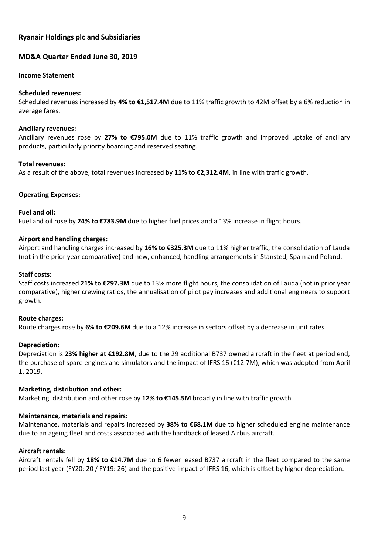## **MD&A Quarter Ended June 30, 2019**

#### **Income Statement**

#### **Scheduled revenues:**

Scheduled revenues increased by **4% to €1,517.4M** due to 11% traffic growth to 42M offset by a 6% reduction in average fares.

#### **Ancillary revenues:**

Ancillary revenues rose by **27% to €795.0M** due to 11% traffic growth and improved uptake of ancillary products, particularly priority boarding and reserved seating.

#### **Total revenues:**

As a result of the above, total revenues increased by **11% to €2,312.4M**, in line with traffic growth.

#### **Operating Expenses:**

#### **Fuel and oil:**

Fuel and oil rose by **24% to €783.9M** due to higher fuel prices and a 13% increase in flight hours.

#### **Airport and handling charges:**

Airport and handling charges increased by **16% to €325.3M** due to 11% higher traffic, the consolidation of Lauda (not in the prior year comparative) and new, enhanced, handling arrangements in Stansted, Spain and Poland.

### **Staff costs:**

Staff costs increased **21% to €297.3M** due to 13% more flight hours, the consolidation of Lauda (not in prior year comparative), higher crewing ratios, the annualisation of pilot pay increases and additional engineers to support growth.

#### **Route charges:**

Route charges rose by **6% to €209.6M** due to a 12% increase in sectors offset by a decrease in unit rates.

#### **Depreciation:**

Depreciation is **23% higher at €192.8M**, due to the 29 additional B737 owned aircraft in the fleet at period end, the purchase of spare engines and simulators and the impact of IFRS 16 (€12.7M), which was adopted from April 1, 2019.

#### **Marketing, distribution and other:**

Marketing, distribution and other rose by **12% to €145.5M** broadly in line with traffic growth.

#### **Maintenance, materials and repairs:**

Maintenance, materials and repairs increased by **38% to €68.1M** due to higher scheduled engine maintenance due to an ageing fleet and costs associated with the handback of leased Airbus aircraft.

## **Aircraft rentals:**

Aircraft rentals fell by **18% to €14.7M** due to 6 fewer leased B737 aircraft in the fleet compared to the same period last year (FY20: 20 / FY19: 26) and the positive impact of IFRS 16, which is offset by higher depreciation.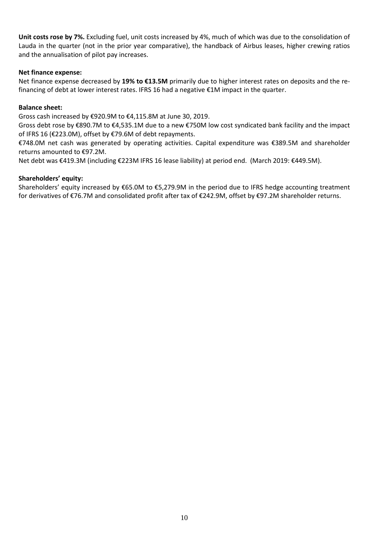**Unit costs rose by 7%.** Excluding fuel, unit costs increased by 4%, much of which was due to the consolidation of Lauda in the quarter (not in the prior year comparative), the handback of Airbus leases, higher crewing ratios and the annualisation of pilot pay increases.

## **Net finance expense:**

Net finance expense decreased by **19% to €13.5M** primarily due to higher interest rates on deposits and the refinancing of debt at lower interest rates. IFRS 16 had a negative €1M impact in the quarter.

## **Balance sheet:**

Gross cash increased by €920.9M to €4,115.8M at June 30, 2019.

Gross debt rose by €890.7M to €4,535.1M due to a new €750M low cost syndicated bank facility and the impact of IFRS 16 (€223.0M), offset by €79.6M of debt repayments.

€748.0M net cash was generated by operating activities. Capital expenditure was €389.5M and shareholder returns amounted to €97.2M.

Net debt was €419.3M (including €223M IFRS 16 lease liability) at period end. (March 2019: €449.5M).

## **Shareholders' equity:**

Shareholders' equity increased by €65.0M to €5,279.9M in the period due to IFRS hedge accounting treatment for derivatives of €76.7M and consolidated profit after tax of €242.9M, offset by €97.2M shareholder returns.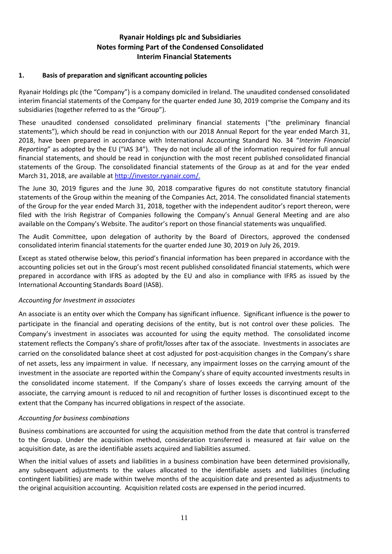## **Ryanair Holdings plc and Subsidiaries Notes forming Part of the Condensed Consolidated Interim Financial Statements**

## **1. Basis of preparation and significant accounting policies**

Ryanair Holdings plc (the "Company") is a company domiciled in Ireland. The unaudited condensed consolidated interim financial statements of the Company for the quarter ended June 30, 2019 comprise the Company and its subsidiaries (together referred to as the "Group").

These unaudited condensed consolidated preliminary financial statements ("the preliminary financial statements"), which should be read in conjunction with our 2018 Annual Report for the year ended March 31, 2018, have been prepared in accordance with International Accounting Standard No. 34 "*Interim Financial Reporting*" as adopted by the EU ("IAS 34"). They do not include all of the information required for full annual financial statements, and should be read in conjunction with the most recent published consolidated financial statements of the Group. The consolidated financial statements of the Group as at and for the year ended March 31, 2018, are available at [http://investor.ryanair.com/.](http://investor.ryanair.com/)

The June 30, 2019 figures and the June 30, 2018 comparative figures do not constitute statutory financial statements of the Group within the meaning of the Companies Act, 2014. The consolidated financial statements of the Group for the year ended March 31, 2018, together with the independent auditor's report thereon, were filed with the Irish Registrar of Companies following the Company's Annual General Meeting and are also available on the Company's Website. The auditor's report on those financial statements was unqualified.

The Audit Committee, upon delegation of authority by the Board of Directors, approved the condensed consolidated interim financial statements for the quarter ended June 30, 2019 on July 26, 2019.

Except as stated otherwise below, this period's financial information has been prepared in accordance with the accounting policies set out in the Group's most recent published consolidated financial statements, which were prepared in accordance with IFRS as adopted by the EU and also in compliance with IFRS as issued by the International Accounting Standards Board (IASB).

#### *Accounting for Investment in associates*

An associate is an entity over which the Company has significant influence. Significant influence is the power to participate in the financial and operating decisions of the entity, but is not control over these policies. The Company's investment in associates was accounted for using the equity method. The consolidated income statement reflects the Company's share of profit/losses after tax of the associate. Investments in associates are carried on the consolidated balance sheet at cost adjusted for post-acquisition changes in the Company's share of net assets, less any impairment in value. If necessary, any impairment losses on the carrying amount of the investment in the associate are reported within the Company's share of equity accounted investments results in the consolidated income statement. If the Company's share of losses exceeds the carrying amount of the associate, the carrying amount is reduced to nil and recognition of further losses is discontinued except to the extent that the Company has incurred obligations in respect of the associate.

#### *Accounting for business combinations*

Business combinations are accounted for using the acquisition method from the date that control is transferred to the Group. Under the acquisition method, consideration transferred is measured at fair value on the acquisition date, as are the identifiable assets acquired and liabilities assumed.

When the initial values of assets and liabilities in a business combination have been determined provisionally, any subsequent adjustments to the values allocated to the identifiable assets and liabilities (including contingent liabilities) are made within twelve months of the acquisition date and presented as adjustments to the original acquisition accounting. Acquisition related costs are expensed in the period incurred.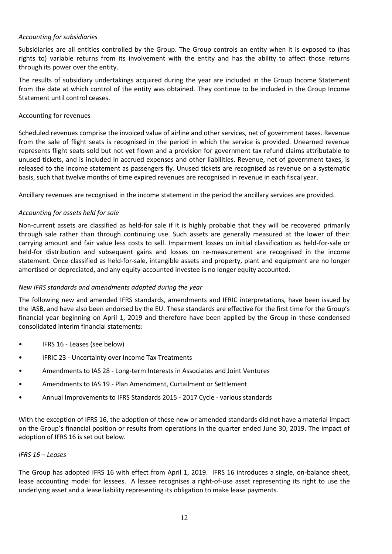## *Accounting for subsidiaries*

Subsidiaries are all entities controlled by the Group. The Group controls an entity when it is exposed to (has rights to) variable returns from its involvement with the entity and has the ability to affect those returns through its power over the entity.

The results of subsidiary undertakings acquired during the year are included in the Group Income Statement from the date at which control of the entity was obtained. They continue to be included in the Group Income Statement until control ceases.

## Accounting for revenues

Scheduled revenues comprise the invoiced value of airline and other services, net of government taxes. Revenue from the sale of flight seats is recognised in the period in which the service is provided. Unearned revenue represents flight seats sold but not yet flown and a provision for government tax refund claims attributable to unused tickets, and is included in accrued expenses and other liabilities. Revenue, net of government taxes, is released to the income statement as passengers fly. Unused tickets are recognised as revenue on a systematic basis, such that twelve months of time expired revenues are recognised in revenue in each fiscal year.

Ancillary revenues are recognised in the income statement in the period the ancillary services are provided.

## *Accounting for assets held for sale*

Non-current assets are classified as held-for sale if it is highly probable that they will be recovered primarily through sale rather than through continuing use. Such assets are generally measured at the lower of their carrying amount and fair value less costs to sell. Impairment losses on initial classification as held-for-sale or held-for distribution and subsequent gains and losses on re-measurement are recognised in the income statement. Once classified as held-for-sale, intangible assets and property, plant and equipment are no longer amortised or depreciated, and any equity-accounted investee is no longer equity accounted.

## *New IFRS standards and amendments adopted during the year*

The following new and amended IFRS standards, amendments and IFRIC interpretations, have been issued by the IASB, and have also been endorsed by the EU. These standards are effective for the first time for the Group's financial year beginning on April 1, 2019 and therefore have been applied by the Group in these condensed consolidated interim financial statements:

- IFRS 16 Leases (see below)
- IFRIC 23 Uncertainty over Income Tax Treatments
- Amendments to IAS 28 Long-term Interests in Associates and Joint Ventures
- Amendments to IAS 19 Plan Amendment, Curtailment or Settlement
- Annual Improvements to IFRS Standards 2015 2017 Cycle various standards

With the exception of IFRS 16, the adoption of these new or amended standards did not have a material impact on the Group's financial position or results from operations in the quarter ended June 30, 2019. The impact of adoption of IFRS 16 is set out below.

#### *IFRS 16 – Leases*

The Group has adopted IFRS 16 with effect from April 1, 2019. IFRS 16 introduces a single, on-balance sheet, lease accounting model for lessees. A lessee recognises a right-of-use asset representing its right to use the underlying asset and a lease liability representing its obligation to make lease payments.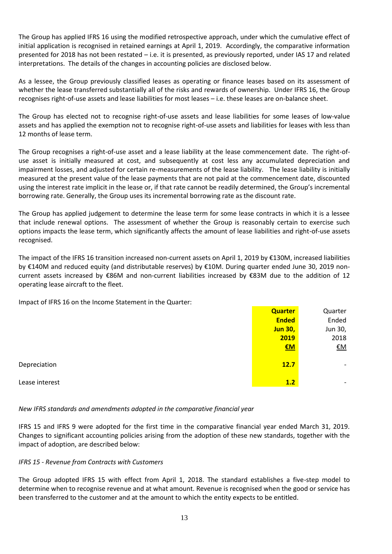The Group has applied IFRS 16 using the modified retrospective approach, under which the cumulative effect of initial application is recognised in retained earnings at April 1, 2019. Accordingly, the comparative information presented for 2018 has not been restated – i.e. it is presented, as previously reported, under IAS 17 and related interpretations. The details of the changes in accounting policies are disclosed below.

As a lessee, the Group previously classified leases as operating or finance leases based on its assessment of whether the lease transferred substantially all of the risks and rewards of ownership. Under IFRS 16, the Group recognises right-of-use assets and lease liabilities for most leases – i.e. these leases are on-balance sheet.

The Group has elected not to recognise right-of-use assets and lease liabilities for some leases of low-value assets and has applied the exemption not to recognise right-of-use assets and liabilities for leases with less than 12 months of lease term.

The Group recognises a right-of-use asset and a lease liability at the lease commencement date. The right-ofuse asset is initially measured at cost, and subsequently at cost less any accumulated depreciation and impairment losses, and adjusted for certain re-measurements of the lease liability. The lease liability is initially measured at the present value of the lease payments that are not paid at the commencement date, discounted using the interest rate implicit in the lease or, if that rate cannot be readily determined, the Group's incremental borrowing rate. Generally, the Group uses its incremental borrowing rate as the discount rate.

The Group has applied judgement to determine the lease term for some lease contracts in which it is a lessee that include renewal options. The assessment of whether the Group is reasonably certain to exercise such options impacts the lease term, which significantly affects the amount of lease liabilities and right-of-use assets recognised.

The impact of the IFRS 16 transition increased non-current assets on April 1, 2019 by €130M, increased liabilities by €140M and reduced equity (and distributable reserves) by €10M. During quarter ended June 30, 2019 noncurrent assets increased by €86M and non-current liabilities increased by €83M due to the addition of 12 operating lease aircraft to the fleet.

Impact of IFRS 16 on the Income Statement in the Quarter:

|                | <b>Quarter</b> | Quarter                  |
|----------------|----------------|--------------------------|
|                | <b>Ended</b>   | Ended                    |
|                | <b>Jun 30,</b> | Jun 30,                  |
|                | 2019           | 2018                     |
|                | $EM$           | <u>€M</u>                |
|                |                |                          |
| Depreciation   | 12.7           | $\overline{\phantom{0}}$ |
|                |                |                          |
| Lease interest | 1.2            | -                        |

#### *New IFRS standards and amendments adopted in the comparative financial year*

IFRS 15 and IFRS 9 were adopted for the first time in the comparative financial year ended March 31, 2019. Changes to significant accounting policies arising from the adoption of these new standards, together with the impact of adoption, are described below:

#### *IFRS 15 - Revenue from Contracts with Customers*

The Group adopted IFRS 15 with effect from April 1, 2018. The standard establishes a five-step model to determine when to recognise revenue and at what amount. Revenue is recognised when the good or service has been transferred to the customer and at the amount to which the entity expects to be entitled.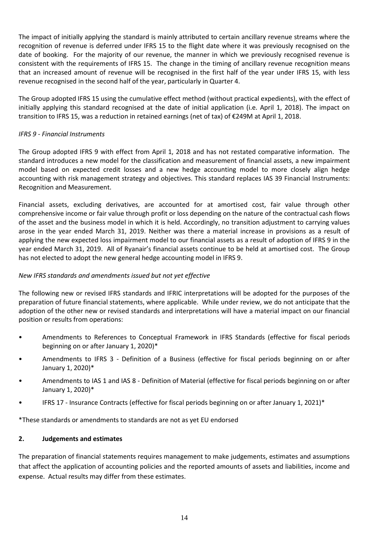The impact of initially applying the standard is mainly attributed to certain ancillary revenue streams where the recognition of revenue is deferred under IFRS 15 to the flight date where it was previously recognised on the date of booking. For the majority of our revenue, the manner in which we previously recognised revenue is consistent with the requirements of IFRS 15. The change in the timing of ancillary revenue recognition means that an increased amount of revenue will be recognised in the first half of the year under IFRS 15, with less revenue recognised in the second half of the year, particularly in Quarter 4.

The Group adopted IFRS 15 using the cumulative effect method (without practical expedients), with the effect of initially applying this standard recognised at the date of initial application (i.e. April 1, 2018). The impact on transition to IFRS 15, was a reduction in retained earnings (net of tax) of €249M at April 1, 2018.

## *IFRS 9 - Financial Instruments*

The Group adopted IFRS 9 with effect from April 1, 2018 and has not restated comparative information. The standard introduces a new model for the classification and measurement of financial assets, a new impairment model based on expected credit losses and a new hedge accounting model to more closely align hedge accounting with risk management strategy and objectives. This standard replaces IAS 39 Financial Instruments: Recognition and Measurement.

Financial assets, excluding derivatives, are accounted for at amortised cost, fair value through other comprehensive income or fair value through profit or loss depending on the nature of the contractual cash flows of the asset and the business model in which it is held. Accordingly, no transition adjustment to carrying values arose in the year ended March 31, 2019. Neither was there a material increase in provisions as a result of applying the new expected loss impairment model to our financial assets as a result of adoption of IFRS 9 in the year ended March 31, 2019. All of Ryanair's financial assets continue to be held at amortised cost. The Group has not elected to adopt the new general hedge accounting model in IFRS 9.

### *New IFRS standards and amendments issued but not yet effective*

The following new or revised IFRS standards and IFRIC interpretations will be adopted for the purposes of the preparation of future financial statements, where applicable. While under review, we do not anticipate that the adoption of the other new or revised standards and interpretations will have a material impact on our financial position or results from operations:

- Amendments to References to Conceptual Framework in IFRS Standards (effective for fiscal periods beginning on or after January 1, 2020)\*
- Amendments to IFRS 3 Definition of a Business (effective for fiscal periods beginning on or after January 1, 2020)\*
- Amendments to IAS 1 and IAS 8 Definition of Material (effective for fiscal periods beginning on or after January 1, 2020)\*
- IFRS 17 Insurance Contracts (effective for fiscal periods beginning on or after January 1, 2021)\*

\*These standards or amendments to standards are not as yet EU endorsed

#### **2. Judgements and estimates**

The preparation of financial statements requires management to make judgements, estimates and assumptions that affect the application of accounting policies and the reported amounts of assets and liabilities, income and expense. Actual results may differ from these estimates.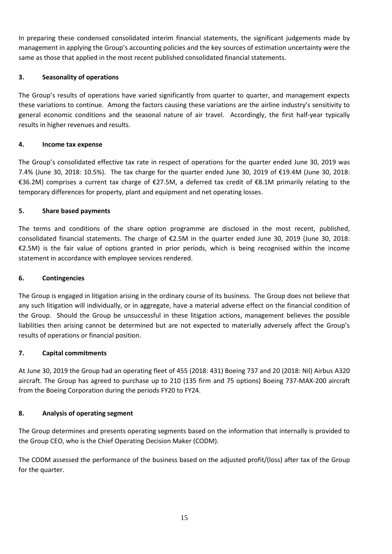In preparing these condensed consolidated interim financial statements, the significant judgements made by management in applying the Group's accounting policies and the key sources of estimation uncertainty were the same as those that applied in the most recent published consolidated financial statements.

## **3. Seasonality of operations**

The Group's results of operations have varied significantly from quarter to quarter, and management expects these variations to continue. Among the factors causing these variations are the airline industry's sensitivity to general economic conditions and the seasonal nature of air travel. Accordingly, the first half-year typically results in higher revenues and results.

## **4. Income tax expense**

The Group's consolidated effective tax rate in respect of operations for the quarter ended June 30, 2019 was 7.4% (June 30, 2018: 10.5%). The tax charge for the quarter ended June 30, 2019 of €19.4M (June 30, 2018: €36.2M) comprises a current tax charge of €27.5M, a deferred tax credit of €8.1M primarily relating to the temporary differences for property, plant and equipment and net operating losses.

## **5. Share based payments**

The terms and conditions of the share option programme are disclosed in the most recent, published, consolidated financial statements. The charge of €2.5M in the quarter ended June 30, 2019 (June 30, 2018: €2.5M) is the fair value of options granted in prior periods, which is being recognised within the income statement in accordance with employee services rendered.

## **6. Contingencies**

The Group is engaged in litigation arising in the ordinary course of its business. The Group does not believe that any such litigation will individually, or in aggregate, have a material adverse effect on the financial condition of the Group. Should the Group be unsuccessful in these litigation actions, management believes the possible liabilities then arising cannot be determined but are not expected to materially adversely affect the Group's results of operations or financial position.

## **7. Capital commitments**

At June 30, 2019 the Group had an operating fleet of 455 (2018: 431) Boeing 737 and 20 (2018: Nil) Airbus A320 aircraft. The Group has agreed to purchase up to 210 (135 firm and 75 options) Boeing 737-MAX-200 aircraft from the Boeing Corporation during the periods FY20 to FY24.

## **8. Analysis of operating segment**

The Group determines and presents operating segments based on the information that internally is provided to the Group CEO, who is the Chief Operating Decision Maker (CODM).

The CODM assessed the performance of the business based on the adjusted profit/(loss) after tax of the Group for the quarter.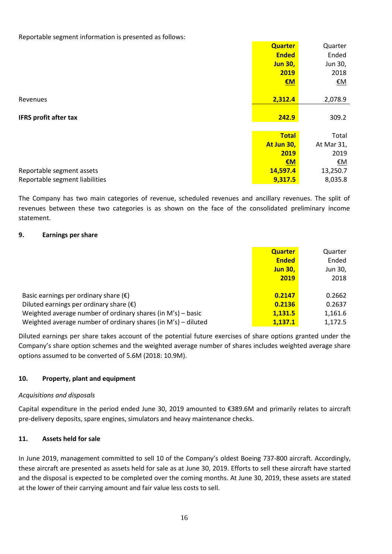Reportable segment information is presented as follows:

|                                | <b>Quarter</b> | Quarter    |
|--------------------------------|----------------|------------|
|                                | <b>Ended</b>   | Ended      |
|                                | <b>Jun 30,</b> | Jun 30,    |
|                                | 2019           | 2018       |
|                                | EM             | <u>€M</u>  |
|                                |                |            |
| Revenues                       | 2,312.4        | 2,078.9    |
|                                |                |            |
| <b>IFRS profit after tax</b>   | 242.9          | 309.2      |
|                                |                |            |
|                                | <b>Total</b>   | Total      |
|                                | At Jun 30,     | At Mar 31, |
|                                | 2019           | 2019       |
|                                | EM             | <u>€M</u>  |
| Reportable segment assets      | 14,597.4       | 13,250.7   |
| Reportable segment liabilities | 9,317.5        | 8,035.8    |

The Company has two main categories of revenue, scheduled revenues and ancillary revenues. The split of revenues between these two categories is as shown on the face of the consolidated preliminary income statement.

## **9. Earnings per share**

|                                                               | <b>Quarter</b> | Quarter |
|---------------------------------------------------------------|----------------|---------|
|                                                               | <b>Ended</b>   | Ended   |
|                                                               | <b>Jun 30,</b> | Jun 30, |
|                                                               | 2019           | 2018    |
|                                                               |                |         |
| Basic earnings per ordinary share $(\epsilon)$                | 0.2147         | 0.2662  |
| Diluted earnings per ordinary share $(\epsilon)$              | 0.2136         | 0.2637  |
| Weighted average number of ordinary shares (in M's) – basic   | 1,131.5        | 1,161.6 |
| Weighted average number of ordinary shares (in M's) - diluted | 1,137.1        | 1,172.5 |

Diluted earnings per share takes account of the potential future exercises of share options granted under the Company's share option schemes and the weighted average number of shares includes weighted average share options assumed to be converted of 5.6M (2018: 10.9M).

## **10. Property, plant and equipment**

#### *Acquisitions and disposals*

Capital expenditure in the period ended June 30, 2019 amounted to €389.6M and primarily relates to aircraft pre-delivery deposits, spare engines, simulators and heavy maintenance checks.

#### **11. Assets held for sale**

In June 2019, management committed to sell 10 of the Company's oldest Boeing 737-800 aircraft. Accordingly, these aircraft are presented as assets held for sale as at June 30, 2019. Efforts to sell these aircraft have started and the disposal is expected to be completed over the coming months. At June 30, 2019, these assets are stated at the lower of their carrying amount and fair value less costs to sell.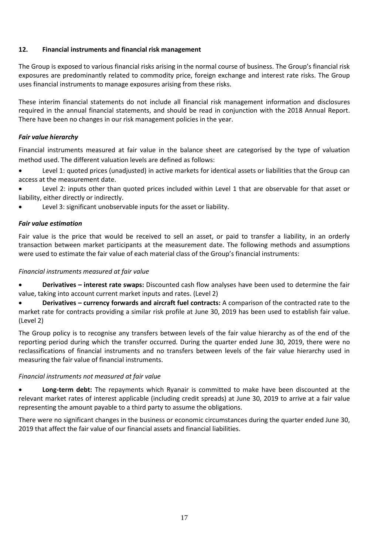## **12. Financial instruments and financial risk management**

The Group is exposed to various financial risks arising in the normal course of business. The Group's financial risk exposures are predominantly related to commodity price, foreign exchange and interest rate risks. The Group uses financial instruments to manage exposures arising from these risks.

These interim financial statements do not include all financial risk management information and disclosures required in the annual financial statements, and should be read in conjunction with the 2018 Annual Report. There have been no changes in our risk management policies in the year.

## *Fair value hierarchy*

Financial instruments measured at fair value in the balance sheet are categorised by the type of valuation method used. The different valuation levels are defined as follows:

• Level 1: quoted prices (unadjusted) in active markets for identical assets or liabilities that the Group can access at the measurement date.

Level 2: inputs other than quoted prices included within Level 1 that are observable for that asset or liability, either directly or indirectly.

Level 3: significant unobservable inputs for the asset or liability.

## *Fair value estimation*

Fair value is the price that would be received to sell an asset, or paid to transfer a liability, in an orderly transaction between market participants at the measurement date. The following methods and assumptions were used to estimate the fair value of each material class of the Group's financial instruments:

#### *Financial instruments measured at fair value*

• **Derivatives – interest rate swaps:** Discounted cash flow analyses have been used to determine the fair value, taking into account current market inputs and rates. (Level 2)

• **Derivatives – currency forwards and aircraft fuel contracts:** A comparison of the contracted rate to the market rate for contracts providing a similar risk profile at June 30, 2019 has been used to establish fair value. (Level 2)

The Group policy is to recognise any transfers between levels of the fair value hierarchy as of the end of the reporting period during which the transfer occurred. During the quarter ended June 30, 2019, there were no reclassifications of financial instruments and no transfers between levels of the fair value hierarchy used in measuring the fair value of financial instruments.

#### *Financial instruments not measured at fair value*

• **Long-term debt:** The repayments which Ryanair is committed to make have been discounted at the relevant market rates of interest applicable (including credit spreads) at June 30, 2019 to arrive at a fair value representing the amount payable to a third party to assume the obligations.

There were no significant changes in the business or economic circumstances during the quarter ended June 30, 2019 that affect the fair value of our financial assets and financial liabilities.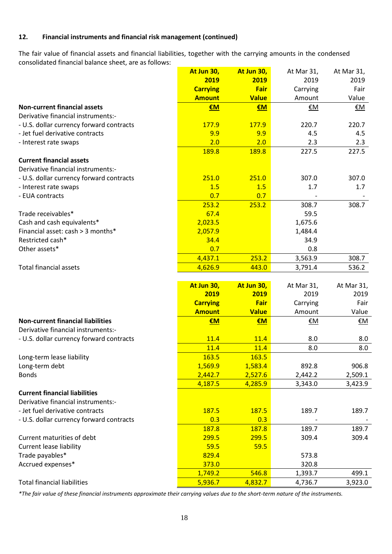## **12. Financial instruments and financial risk management (continued)**

The fair value of financial assets and financial liabilities, together with the carrying amounts in the condensed consolidated financial balance sheet, are as follows:

|                                          | At Jun 30,         | At Jun 30,       | At Mar 31,         | At Mar 31,       |
|------------------------------------------|--------------------|------------------|--------------------|------------------|
|                                          | 2019               | 2019             | 2019               | 2019             |
|                                          | <b>Carrying</b>    | Fair             | Carrying           | Fair             |
|                                          | <b>Amount</b>      | <b>Value</b>     | Amount             | Value            |
| <b>Non-current financial assets</b>      | €M                 | €M               | €M                 | €M               |
| Derivative financial instruments:-       |                    |                  |                    |                  |
| - U.S. dollar currency forward contracts | 177.9              | 177.9            | 220.7              | 220.7            |
| - Jet fuel derivative contracts          | 9.9                | 9.9              | 4.5                | 4.5              |
| - Interest rate swaps                    | 2.0                | 2.0              | 2.3                | 2.3              |
|                                          | 189.8              | 189.8            | 227.5              | 227.5            |
| <b>Current financial assets</b>          |                    |                  |                    |                  |
| Derivative financial instruments:-       |                    |                  |                    |                  |
| - U.S. dollar currency forward contracts | 251.0              | 251.0            | 307.0              | 307.0            |
| - Interest rate swaps                    | 1.5                | 1.5              | 1.7                | 1.7              |
| - EUA contracts                          | 0.7                | 0.7              |                    |                  |
|                                          | 253.2              | 253.2            | 308.7              | 308.7            |
| Trade receivables*                       | 67.4               |                  | 59.5               |                  |
| Cash and cash equivalents*               | 2,023.5            |                  | 1,675.6            |                  |
| Financial asset: cash > 3 months*        | 2,057.9            |                  | 1,484.4            |                  |
| Restricted cash*                         | 34.4               |                  | 34.9               |                  |
| Other assets*                            | 0.7                |                  | 0.8                |                  |
|                                          | 4,437.1            | 253.2            | 3,563.9            | 308.7            |
| <b>Total financial assets</b>            | 4,626.9            | 443.0            | 3,791.4            | 536.2            |
|                                          |                    |                  |                    |                  |
|                                          | At Jun 30,         | At Jun 30,       | At Mar 31,         | At Mar 31,       |
|                                          | 2019               | 2019             | 2019               | 2019             |
|                                          |                    | Fair             |                    |                  |
|                                          |                    |                  |                    |                  |
|                                          | <b>Carrying</b>    |                  | Carrying           | Fair             |
|                                          | <b>Amount</b>      | <b>Value</b>     | Amount             | Value            |
| <b>Non-current financial liabilities</b> | €M                 | €M               | €M                 | <u>€M</u>        |
| Derivative financial instruments:-       |                    |                  |                    |                  |
| - U.S. dollar currency forward contracts | 11.4               | 11.4             | 8.0                | 8.0              |
|                                          | 11.4               | 11.4             | 8.0                | 8.0              |
| Long-term lease liability                | 163.5              | 163.5            |                    |                  |
| Long-term debt                           | 1,569.9            | 1,583.4          | 892.8              | 906.8            |
| <b>Bonds</b>                             | 2,442.7            | 2,527.6          | 2,442.2            | 2,509.1          |
|                                          | 4,187.5            | 4,285.9          | 3,343.0            | 3,423.9          |
| <b>Current financial liabilities</b>     |                    |                  |                    |                  |
| Derivative financial instruments:-       |                    |                  |                    |                  |
| - Jet fuel derivative contracts          | 187.5              | 187.5            | 189.7              | 189.7            |
| - U.S. dollar currency forward contracts | 0.3                | 0.3              |                    |                  |
|                                          | 187.8              | 187.8            | 189.7              | 189.7            |
| Current maturities of debt               | 299.5              | 299.5            | 309.4              | 309.4            |
| <b>Current lease liability</b>           | 59.5               | 59.5             |                    |                  |
| Trade payables*                          | 829.4              |                  | 573.8              |                  |
| Accrued expenses*                        | 373.0              |                  | 320.8              |                  |
| <b>Total financial liabilities</b>       | 1,749.2<br>5,936.7 | 546.8<br>4,832.7 | 1,393.7<br>4,736.7 | 499.1<br>3,923.0 |

*\*The fair value of these financial instruments approximate their carrying values due to the short-term nature of the instruments.*